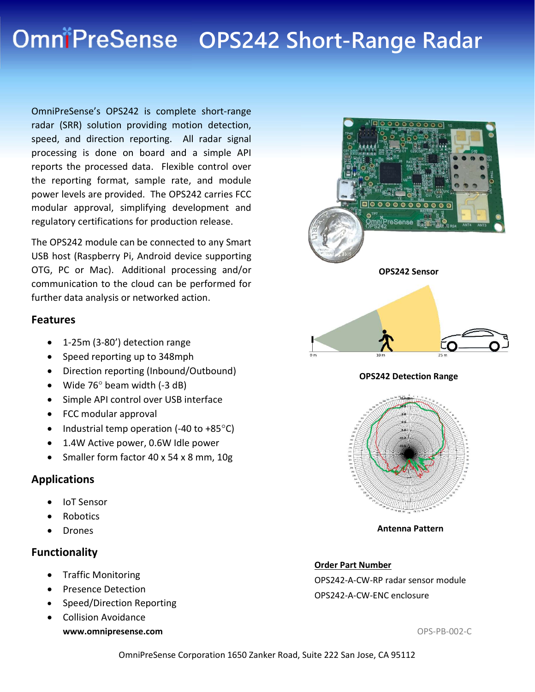# OmniPreSense OPS242 Short-Range Radar

OmniPreSense's OPS242 is complete short-range radar (SRR) solution providing motion detection, speed, and direction reporting. All radar signal processing is done on board and a simple API reports the processed data. Flexible control over the reporting format, sample rate, and module power levels are provided. The OPS242 carries FCC modular approval, simplifying development and regulatory certifications for production release.

The OPS242 module can be connected to any Smart USB host (Raspberry Pi, Android device supporting OTG, PC or Mac). Additional processing and/or communication to the cloud can be performed for further data analysis or networked action.

#### Features

- 1-25m (3-80') detection range
- Speed reporting up to 348mph
- Direction reporting (Inbound/Outbound)
- $\bullet$  Wide 76 $\circ$  beam width (-3 dB)
- Simple API control over USB interface
- FCC modular approval
- Industrial temp operation  $(-40 \text{ to } +85^{\circ}C)$
- 1.4W Active power, 0.6W Idle power
- Smaller form factor 40 x 54 x 8 mm, 10g

### Applications

- IoT Sensor
- Robotics
- Drones

### Functionality

- Traffic Monitoring
- **•** Presence Detection
- Speed/Direction Reporting
- www.omnipresense.com and the set of the set of the set of the set of the set of the set of the set of the set of the set of the set of the set of the set of the set of the set of the set of the set of the set of the set of Collision Avoidance





Antenna Pattern

#### Order Part Number

OPS242-A-CW-RP radar sensor module OPS242-A-CW-ENC enclosure